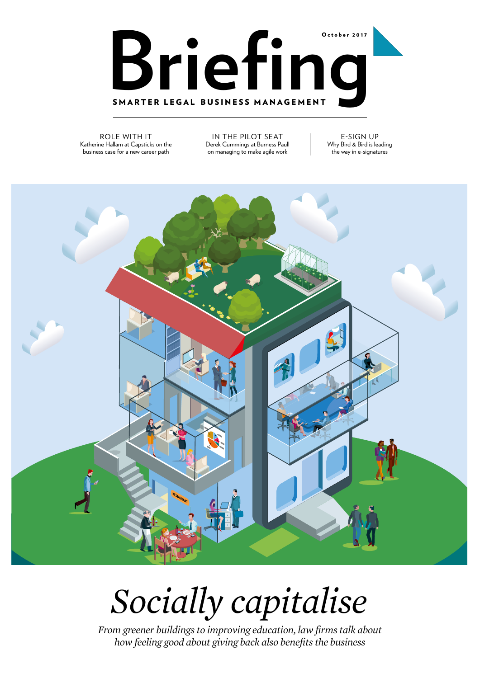

ROLE WITH IT Katherine Hallam at Capsticks on the business case for a new career path

IN THE PILOT SEAT Derek Cummings at Burness Paull on managing to make agile work

E-SIGN UP Why Bird & Bird is leading the way in e-signatures



## *Socially capitalise*

*From greener buildings to improving education, law firms talk about how feeling good about giving back also benefits the business*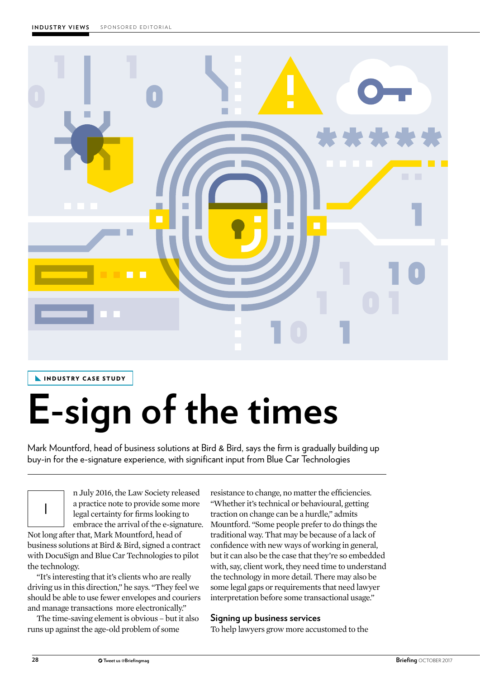

INDUSTRY CASE STUDY

# **E-sign of the times**

Mark Mountford, head of business solutions at Bird & Bird, says the firm is gradually building up buy-in for the e-signature experience, with significant input from Blue Car Technologies

I

n July 2016, the Law Society released a practice note to provide some more legal certainty for firms looking to embrace the arrival of the e-signature.

Not long after that, Mark Mountford, head of business solutions at Bird & Bird, signed a contract with DocuSign and Blue Car Technologies to pilot the technology.

"It's interesting that it's clients who are really driving us in this direction," he says. "They feel we should be able to use fewer envelopes and couriers and manage transactions more electronically."

The time-saving element is obvious – but it also runs up against the age-old problem of some

resistance to change, no matter the efficiencies. "Whether it's technical or behavioural, getting traction on change can be a hurdle," admits Mountford. "Some people prefer to do things the traditional way. That may be because of a lack of confidence with new ways of working in general, but it can also be the case that they're so embedded with, say, client work, they need time to understand the technology in more detail. There may also be some legal gaps or requirements that need lawyer interpretation before some transactional usage."

## **Signing up business services**

To help lawyers grow more accustomed to the